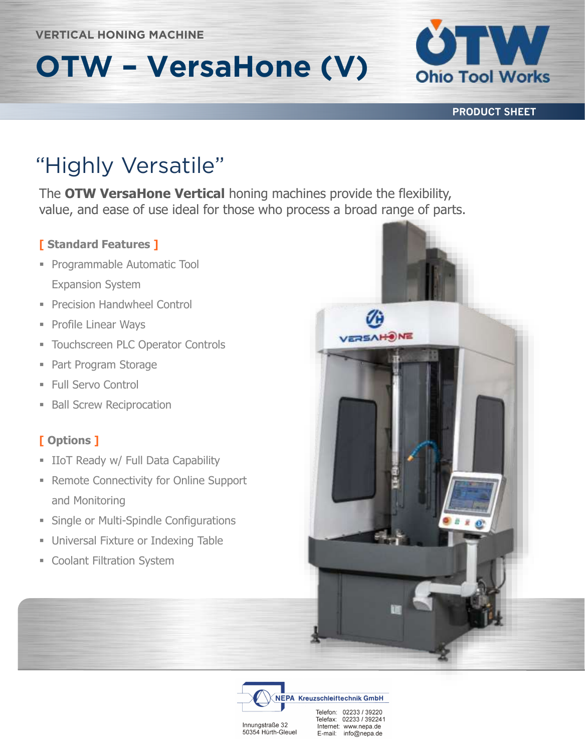# **OTW – VersaHone (V)**



**PRODUCT SHEET**

The **OTW VersaHone Vertical** honing machines provide the flexibility, value, and ease of use ideal for those who process a broad range of parts.

#### **[ Standard Features ]**

- **Programmable Automatic Tool** Expansion System
- **Precision Handwheel Control**
- Profile Linear Ways
- **EXECUTE: Touchscreen PLC Operator Controls**
- Part Program Storage
- Full Servo Control
- **Ball Screw Reciprocation**

### **[ Options ]**

- **E** IIoT Ready w/ Full Data Capability
- Remote Connectivity for Online Support and Monitoring
- **Example or Multi-Spindle Configurations**
- **Universal Fixture or Indexing Table**
- **Exercise Coolant Filtration System**





Innungstraße 32 50354 Hürth-Gleuel Telefax: 02233 / 392241 Internet: www.nepa.de E-mail: info@nepa.de